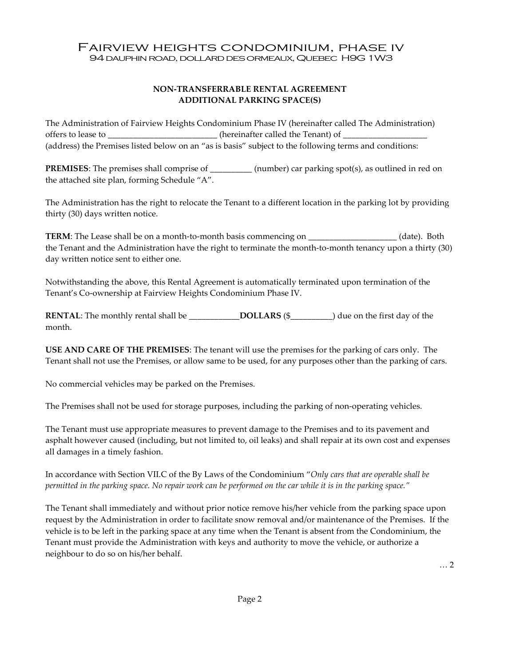## Fairview heights condominium, phase iv 94 dauphin road, dollard des ormeaux, Quebec H9G 1W3

## NON-TRANSFERRABLE RENTAL AGREEMENT ADDITIONAL PARKING SPACE(S)

The Administration of Fairview Heights Condominium Phase IV (hereinafter called The Administration) offers to lease to \_\_\_\_\_\_\_\_\_\_\_\_\_\_\_\_\_\_\_\_\_\_\_\_(hereinafter called the Tenant) of \_ (address) the Premises listed below on an "as is basis" subject to the following terms and conditions:

PREMISES: The premises shall comprise of \_\_\_\_\_\_\_\_\_\_ (number) car parking spot(s), as outlined in red on the attached site plan, forming Schedule "A".

The Administration has the right to relocate the Tenant to a different location in the parking lot by providing thirty (30) days written notice.

TERM: The Lease shall be on a month-to-month basis commencing on \_\_\_\_\_\_\_\_\_\_\_\_\_\_\_\_\_\_\_\_\_ (date). Both the Tenant and the Administration have the right to terminate the month-to-month tenancy upon a thirty (30) day written notice sent to either one.

Notwithstanding the above, this Rental Agreement is automatically terminated upon termination of the Tenant's Co-ownership at Fairview Heights Condominium Phase IV.

RENTAL: The monthly rental shall be \_\_\_\_\_\_\_\_\_\_\_\_\_\_DOLLARS (\$\_\_\_\_\_\_\_\_\_) due on the first day of the month.

USE AND CARE OF THE PREMISES: The tenant will use the premises for the parking of cars only. The Tenant shall not use the Premises, or allow same to be used, for any purposes other than the parking of cars.

No commercial vehicles may be parked on the Premises.

The Premises shall not be used for storage purposes, including the parking of non-operating vehicles.

The Tenant must use appropriate measures to prevent damage to the Premises and to its pavement and asphalt however caused (including, but not limited to, oil leaks) and shall repair at its own cost and expenses all damages in a timely fashion.

In accordance with Section VII.C of the By Laws of the Condominium "Only cars that are operable shall be permitted in the parking space. No repair work can be performed on the car while it is in the parking space."

The Tenant shall immediately and without prior notice remove his/her vehicle from the parking space upon request by the Administration in order to facilitate snow removal and/or maintenance of the Premises. If the vehicle is to be left in the parking space at any time when the Tenant is absent from the Condominium, the Tenant must provide the Administration with keys and authority to move the vehicle, or authorize a neighbour to do so on his/her behalf.

… 2